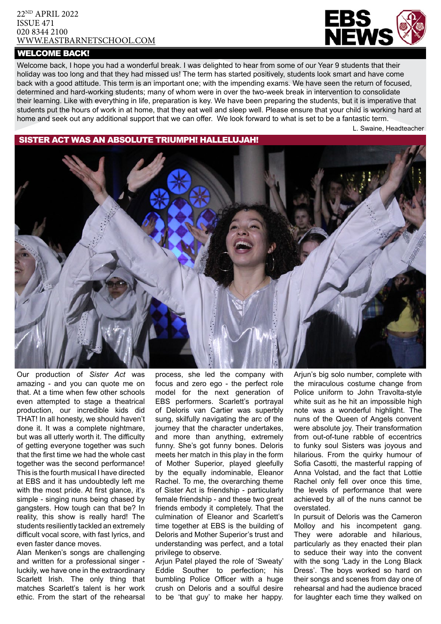#### 22ND APRIL 2022 ISSUE 471 020 8344 2100 [WWW.EASTBARNETSCHOOL.](http://www.eastbarnet.barnet.sch.uk)COM

### WELCOME BACK!



Welcome back, I hope you had a wonderful break. I was delighted to hear from some of our Year 9 students that their holiday was too long and that they had missed us! The term has started positively, students look smart and have come back with a good attitude. This term is an important one; with the impending exams. We have seen the return of focused, determined and hard-working students; many of whom were in over the two-week break in intervention to consolidate their learning. Like with everything in life, preparation is key. We have been preparing the students, but it is imperative that students put the hours of work in at home, that they eat well and sleep well. Please ensure that your child is working hard at home and seek out any additional support that we can offer. We look forward to what is set to be a fantastic term.

L. Swaine, Headteacher

# SISTER ACT WAS AN ABSOLUTE TRIUMPH! HALLELUJAH!



Our production of *Sister Act* was amazing - and you can quote me on that. At a time when few other schools even attempted to stage a theatrical production, our incredible kids did THAT! In all honesty, we should haven't done it. It was a complete nightmare, but was all utterly worth it. The difficulty of getting everyone together was such that the first time we had the whole cast together was the second performance! This is the fourth musical I have directed at EBS and it has undoubtedly left me with the most pride. At first glance, it's simple - singing nuns being chased by gangsters. How tough can that be? In reality, this show is really hard! The students resiliently tackled an extremely difficult vocal score, with fast lyrics, and even faster dance moves.

Alan Menken's songs are challenging and written for a professional singer luckily, we have one in the extraordinary Scarlett Irish. The only thing that matches Scarlett's talent is her work ethic. From the start of the rehearsal

process, she led the company with focus and zero ego - the perfect role model for the next generation of EBS performers. Scarlett's portrayal of Deloris van Cartier was superbly sung, skilfully navigating the arc of the journey that the character undertakes, and more than anything, extremely funny. She's got funny bones. Deloris meets her match in this play in the form of Mother Superior, played gleefully by the equally indominable, Eleanor Rachel. To me, the overarching theme of Sister Act is friendship - particularly female friendship - and these two great friends embody it completely. That the culmination of Eleanor and Scarlett's time together at EBS is the building of Deloris and Mother Superior's trust and understanding was perfect, and a total privilege to observe.

Arjun Patel played the role of 'Sweaty' Eddie Souther to perfection; his bumbling Police Officer with a huge crush on Deloris and a soulful desire to be 'that guy' to make her happy.

Arjun's big solo number, complete with the miraculous costume change from Police uniform to John Travolta-style white suit as he hit an impossible high note was a wonderful highlight. The nuns of the Queen of Angels convent were absolute joy. Their transformation from out-of-tune rabble of eccentrics to funky soul Sisters was joyous and hilarious. From the quirky humour of Sofia Casotti, the masterful rapping of Anna Volstad, and the fact that Lottie Rachel only fell over once this time, the levels of performance that were achieved by all of the nuns cannot be overstated.

In pursuit of Deloris was the Cameron Molloy and his incompetent gang. They were adorable and hilarious, particularly as they enacted their plan to seduce their way into the convent with the song 'Lady in the Long Black Dress'. The boys worked so hard on their songs and scenes from day one of rehearsal and had the audience braced for laughter each time they walked on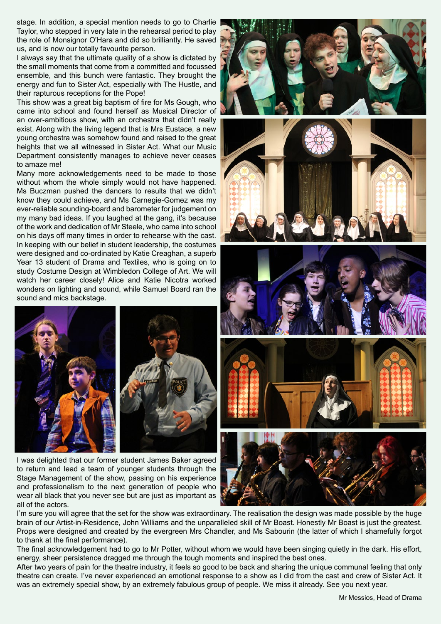stage. In addition, a special mention needs to go to Charlie Taylor, who stepped in very late in the rehearsal period to play the role of Monsignor O'Hara and did so brilliantly. He saved us, and is now our totally favourite person.

I always say that the ultimate quality of a show is dictated by the small moments that come from a committed and focussed ensemble, and this bunch were fantastic. They brought the energy and fun to Sister Act, especially with The Hustle, and their rapturous receptions for the Pope!

This show was a great big baptism of fire for Ms Gough, who came into school and found herself as Musical Director of an over-ambitious show, with an orchestra that didn't really exist. Along with the living legend that is Mrs Eustace, a new young orchestra was somehow found and raised to the great heights that we all witnessed in Sister Act. What our Music Department consistently manages to achieve never ceases to amaze me!

Many more acknowledgements need to be made to those without whom the whole simply would not have happened. Ms Buczman pushed the dancers to results that we didn't know they could achieve, and Ms Carnegie-Gomez was my ever-reliable sounding-board and barometer for judgement on my many bad ideas. If you laughed at the gang, it's because of the work and dedication of Mr Steele, who came into school on his days off many times in order to rehearse with the cast. In keeping with our belief in student leadership, the costumes were designed and co-ordinated by Katie Creaghan, a superb Year 13 student of Drama and Textiles, who is going on to study Costume Design at Wimbledon College of Art. We will watch her career closely! Alice and Katie Nicotra worked wonders on lighting and sound, while Samuel Board ran the sound and mics backstage.



I was delighted that our former student James Baker agreed to return and lead a team of younger students through the Stage Management of the show, passing on his experience and professionalism to the next generation of people who wear all black that you never see but are just as important as all of the actors.











I'm sure you will agree that the set for the show was extraordinary. The realisation the design was made possible by the huge brain of our Artist-in-Residence, John Williams and the unparalleled skill of Mr Boast. Honestly Mr Boast is just the greatest. Props were designed and created by the evergreen Mrs Chandler, and Ms Sabourin (the latter of which I shamefully forgot to thank at the final performance).

The final acknowledgement had to go to Mr Potter, without whom we would have been singing quietly in the dark. His effort, energy, sheer persistence dragged me through the tough moments and inspired the best ones.

After two years of pain for the theatre industry, it feels so good to be back and sharing the unique communal feeling that only theatre can create. I've never experienced an emotional response to a show as I did from the cast and crew of Sister Act. It was an extremely special show, by an extremely fabulous group of people. We miss it already. See you next year.